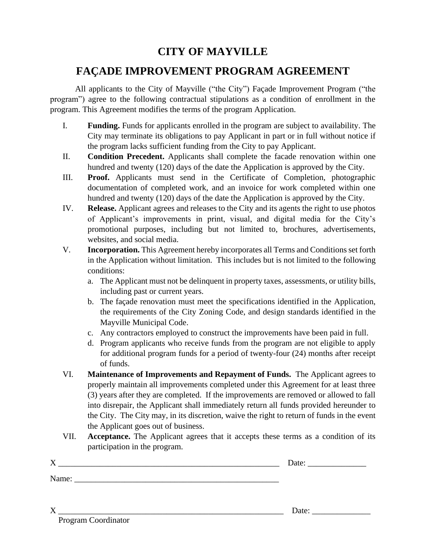## **CITY OF MAYVILLE**

### **FAÇADE IMPROVEMENT PROGRAM AGREEMENT**

All applicants to the City of Mayville ("the City") Façade Improvement Program ("the program") agree to the following contractual stipulations as a condition of enrollment in the program. This Agreement modifies the terms of the program Application.

- I. **Funding.** Funds for applicants enrolled in the program are subject to availability. The City may terminate its obligations to pay Applicant in part or in full without notice if the program lacks sufficient funding from the City to pay Applicant.
- II. **Condition Precedent.** Applicants shall complete the facade renovation within one hundred and twenty (120) days of the date the Application is approved by the City.
- III. **Proof.** Applicants must send in the Certificate of Completion, photographic documentation of completed work, and an invoice for work completed within one hundred and twenty (120) days of the date the Application is approved by the City.
- IV. **Release.** Applicant agrees and releases to the City and its agents the right to use photos of Applicant's improvements in print, visual, and digital media for the City's promotional purposes, including but not limited to, brochures, advertisements, websites, and social media.
- V. **Incorporation.** This Agreement hereby incorporates all Terms and Conditions set forth in the Application without limitation. This includes but is not limited to the following conditions:
	- a. The Applicant must not be delinquent in property taxes, assessments, or utility bills, including past or current years.
	- b. The façade renovation must meet the specifications identified in the Application, the requirements of the City Zoning Code, and design standards identified in the Mayville Municipal Code.
	- c. Any contractors employed to construct the improvements have been paid in full.
	- d. Program applicants who receive funds from the program are not eligible to apply for additional program funds for a period of twenty-four (24) months after receipt of funds.
- VI. **Maintenance of Improvements and Repayment of Funds.** The Applicant agrees to properly maintain all improvements completed under this Agreement for at least three (3) years after they are completed. If the improvements are removed or allowed to fall into disrepair, the Applicant shall immediately return all funds provided hereunder to the City. The City may, in its discretion, waive the right to return of funds in the event the Applicant goes out of business.
- VII. **Acceptance.** The Applicant agrees that it accepts these terms as a condition of its participation in the program.

| $\boldsymbol{X}$ | Date: |
|------------------|-------|
| Name:            |       |
|                  |       |
| X                | Date: |